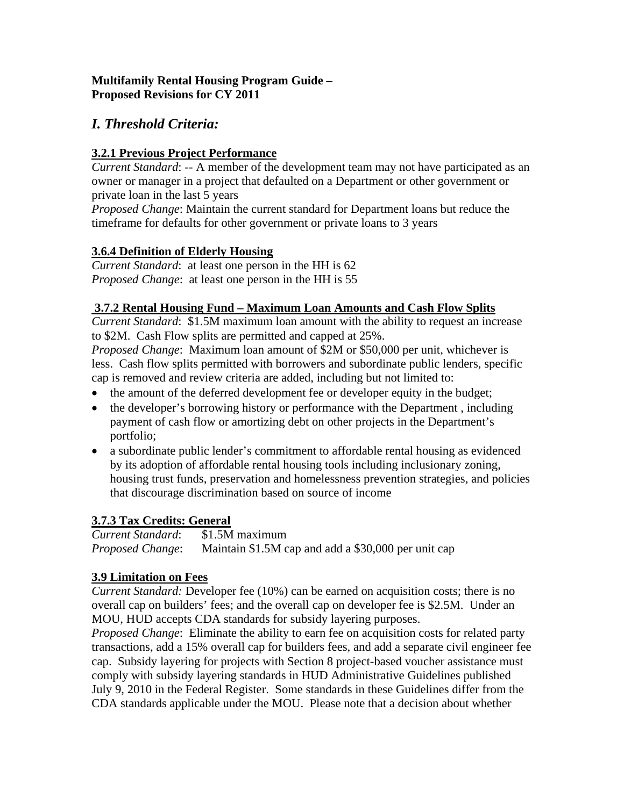### **Multifamily Rental Housing Program Guide – Proposed Revisions for CY 2011**

# *I. Threshold Criteria:*

# **3.2.1 Previous Project Performance**

*Current Standard*: -- A member of the development team may not have participated as an owner or manager in a project that defaulted on a Department or other government or private loan in the last 5 years

*Proposed Change*: Maintain the current standard for Department loans but reduce the timeframe for defaults for other government or private loans to 3 years

## **3.6.4 Definition of Elderly Housing**

*Current Standard*: at least one person in the HH is 62 *Proposed Change*: at least one person in the HH is 55

## **3.7.2 Rental Housing Fund – Maximum Loan Amounts and Cash Flow Splits**

*Current Standard*: \$1.5M maximum loan amount with the ability to request an increase to \$2M. Cash Flow splits are permitted and capped at 25%.

*Proposed Change*: Maximum loan amount of \$2M or \$50,000 per unit, whichever is less. Cash flow splits permitted with borrowers and subordinate public lenders, specific cap is removed and review criteria are added, including but not limited to:

- the amount of the deferred development fee or developer equity in the budget;
- the developer's borrowing history or performance with the Department, including payment of cash flow or amortizing debt on other projects in the Department's portfolio;
- a subordinate public lender's commitment to affordable rental housing as evidenced by its adoption of affordable rental housing tools including inclusionary zoning, housing trust funds, preservation and homelessness prevention strategies, and policies that discourage discrimination based on source of income

# **3.7.3 Tax Credits: General**

*Current Standard*: \$1.5M maximum *Proposed Change*: Maintain \$1.5M cap and add a \$30,000 per unit cap

# **3.9 Limitation on Fees**

*Current Standard:* Developer fee (10%) can be earned on acquisition costs; there is no overall cap on builders' fees; and the overall cap on developer fee is \$2.5M. Under an MOU, HUD accepts CDA standards for subsidy layering purposes.

*Proposed Change*: Eliminate the ability to earn fee on acquisition costs for related party transactions, add a 15% overall cap for builders fees, and add a separate civil engineer fee cap. Subsidy layering for projects with Section 8 project-based voucher assistance must comply with subsidy layering standards in HUD Administrative Guidelines published July 9, 2010 in the Federal Register. Some standards in these Guidelines differ from the CDA standards applicable under the MOU. Please note that a decision about whether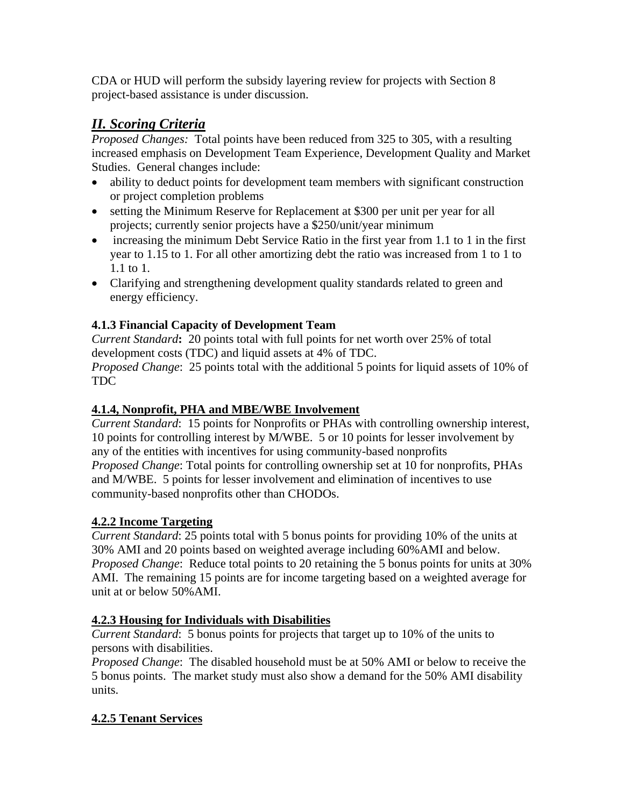CDA or HUD will perform the subsidy layering review for projects with Section 8 project-based assistance is under discussion.

# *II. Scoring Criteria*

*Proposed Changes:* Total points have been reduced from 325 to 305, with a resulting increased emphasis on Development Team Experience, Development Quality and Market Studies. General changes include:

- ability to deduct points for development team members with significant construction or project completion problems
- setting the Minimum Reserve for Replacement at \$300 per unit per year for all projects; currently senior projects have a \$250/unit/year minimum
- increasing the minimum Debt Service Ratio in the first year from 1.1 to 1 in the first year to 1.15 to 1. For all other amortizing debt the ratio was increased from 1 to 1 to 1.1 to 1.
- Clarifying and strengthening development quality standards related to green and energy efficiency.

# **4.1.3 Financial Capacity of Development Team**

*Current Standard***:** 20 points total with full points for net worth over 25% of total development costs (TDC) and liquid assets at 4% of TDC.

*Proposed Change*: 25 points total with the additional 5 points for liquid assets of 10% of TDC

### **4.1.4, Nonprofit, PHA and MBE/WBE Involvement**

*Current Standard*: 15 points for Nonprofits or PHAs with controlling ownership interest, 10 points for controlling interest by M/WBE. 5 or 10 points for lesser involvement by any of the entities with incentives for using community-based nonprofits *Proposed Change*: Total points for controlling ownership set at 10 for nonprofits, PHAs and M/WBE. 5 points for lesser involvement and elimination of incentives to use community-based nonprofits other than CHODOs.

#### **4.2.2 Income Targeting**

*Current Standard*: 25 points total with 5 bonus points for providing 10% of the units at 30% AMI and 20 points based on weighted average including 60%AMI and below. *Proposed Change*: Reduce total points to 20 retaining the 5 bonus points for units at 30% AMI. The remaining 15 points are for income targeting based on a weighted average for unit at or below 50%AMI.

#### **4.2.3 Housing for Individuals with Disabilities**

*Current Standard*: 5 bonus points for projects that target up to 10% of the units to persons with disabilities.

*Proposed Change*: The disabled household must be at 50% AMI or below to receive the 5 bonus points. The market study must also show a demand for the 50% AMI disability units.

# **4.2.5 Tenant Services**